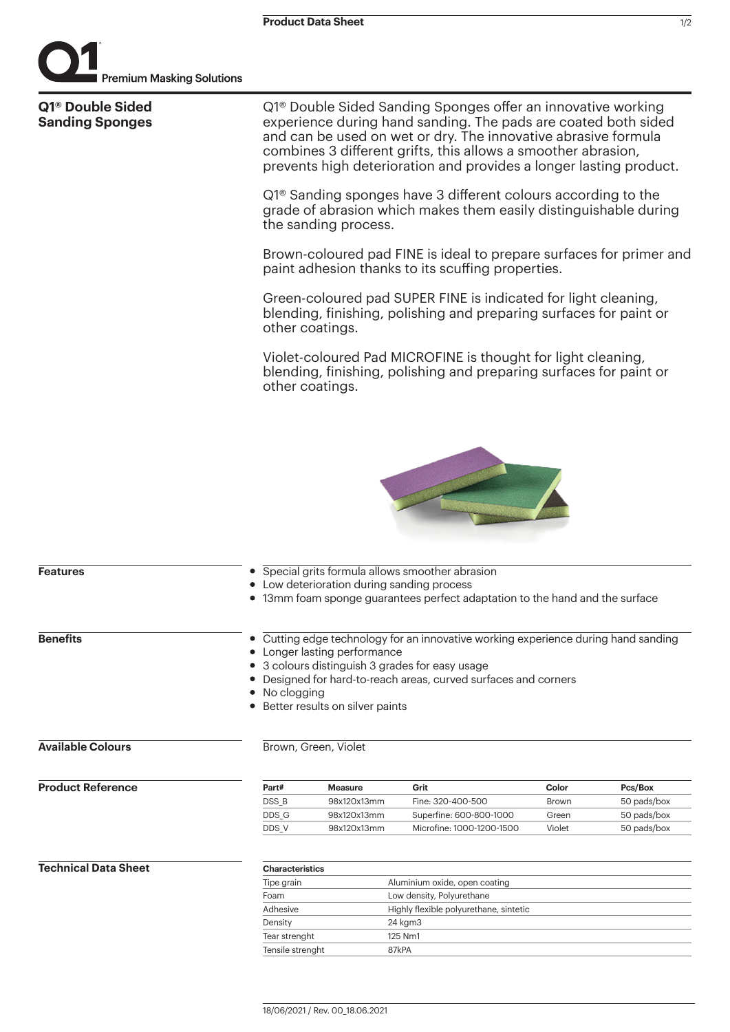

| Q1 <sup>®</sup> Double Sided<br><b>Sanding Sponges</b> | Q1 <sup>®</sup> Double Sided Sanding Sponges offer an innovative working<br>experience during hand sanding. The pads are coated both sided<br>and can be used on wet or dry. The innovative abrasive formula<br>combines 3 different grifts, this allows a smoother abrasion,<br>prevents high deterioration and provides a longer lasting product.                                                                                          |                                                             |                                                                                   |                                          |                                                      |                 |           |                                                                                                                                                                                                                                                                                                                                                                    |                                                  |  |  |
|--------------------------------------------------------|----------------------------------------------------------------------------------------------------------------------------------------------------------------------------------------------------------------------------------------------------------------------------------------------------------------------------------------------------------------------------------------------------------------------------------------------|-------------------------------------------------------------|-----------------------------------------------------------------------------------|------------------------------------------|------------------------------------------------------|-----------------|-----------|--------------------------------------------------------------------------------------------------------------------------------------------------------------------------------------------------------------------------------------------------------------------------------------------------------------------------------------------------------------------|--------------------------------------------------|--|--|
|                                                        | Q1 <sup>®</sup> Sanding sponges have 3 different colours according to the<br>grade of abrasion which makes them easily distinguishable during<br>the sanding process.                                                                                                                                                                                                                                                                        |                                                             |                                                                                   |                                          |                                                      |                 |           |                                                                                                                                                                                                                                                                                                                                                                    |                                                  |  |  |
|                                                        | Brown-coloured pad FINE is ideal to prepare surfaces for primer and<br>paint adhesion thanks to its scuffing properties.<br>Green-coloured pad SUPER FINE is indicated for light cleaning,<br>blending, finishing, polishing and preparing surfaces for paint or<br>other coatings.<br>Violet-coloured Pad MICROFINE is thought for light cleaning,<br>blending, finishing, polishing and preparing surfaces for paint or<br>other coatings. |                                                             |                                                                                   |                                          |                                                      |                 |           |                                                                                                                                                                                                                                                                                                                                                                    |                                                  |  |  |
|                                                        |                                                                                                                                                                                                                                                                                                                                                                                                                                              |                                                             |                                                                                   |                                          |                                                      | <b>Features</b> |           | • Low deterioration during sanding process                                                                                                                                                                                                                                                                                                                         | • Special grits formula allows smoother abrasion |  |  |
|                                                        |                                                                                                                                                                                                                                                                                                                                                                                                                                              |                                                             |                                                                                   |                                          |                                                      | <b>Benefits</b> | $\bullet$ | • 13mm foam sponge guarantees perfect adaptation to the hand and the surface<br>Cutting edge technology for an innovative working experience during hand sanding<br>Longer lasting performance<br>3 colours distinguish 3 grades for easy usage<br>Designed for hard-to-reach areas, curved surfaces and corners<br>No clogging<br>Better results on silver paints |                                                  |  |  |
| <b>Available Colours</b>                               |                                                                                                                                                                                                                                                                                                                                                                                                                                              | Brown, Green, Violet                                        |                                                                                   |                                          |                                                      |                 |           |                                                                                                                                                                                                                                                                                                                                                                    |                                                  |  |  |
| <b>Product Reference</b>                               | Part#<br>DSS_B<br>DDS_G<br>DDS_V                                                                                                                                                                                                                                                                                                                                                                                                             | <b>Measure</b><br>98x120x13mm<br>98x120x13mm<br>98x120x13mm | Grit<br>Fine: 320-400-500<br>Superfine: 600-800-1000<br>Microfine: 1000-1200-1500 | Color<br><b>Brown</b><br>Green<br>Violet | Pcs/Box<br>50 pads/box<br>50 pads/box<br>50 pads/box |                 |           |                                                                                                                                                                                                                                                                                                                                                                    |                                                  |  |  |
| <b>Technical Data Sheet</b>                            | <b>Characteristics</b><br>Tipe grain<br>Aluminium oxide, open coating<br>Low density, Polyurethane<br>Foam<br>Adhesive<br>Highly flexible polyurethane, sintetic                                                                                                                                                                                                                                                                             |                                                             |                                                                                   |                                          |                                                      |                 |           |                                                                                                                                                                                                                                                                                                                                                                    |                                                  |  |  |
|                                                        | 24 kgm3<br>Density<br>Tear strenght<br>125 Nm1<br>87kPA<br>Tensile strenght                                                                                                                                                                                                                                                                                                                                                                  |                                                             |                                                                                   |                                          |                                                      |                 |           |                                                                                                                                                                                                                                                                                                                                                                    |                                                  |  |  |